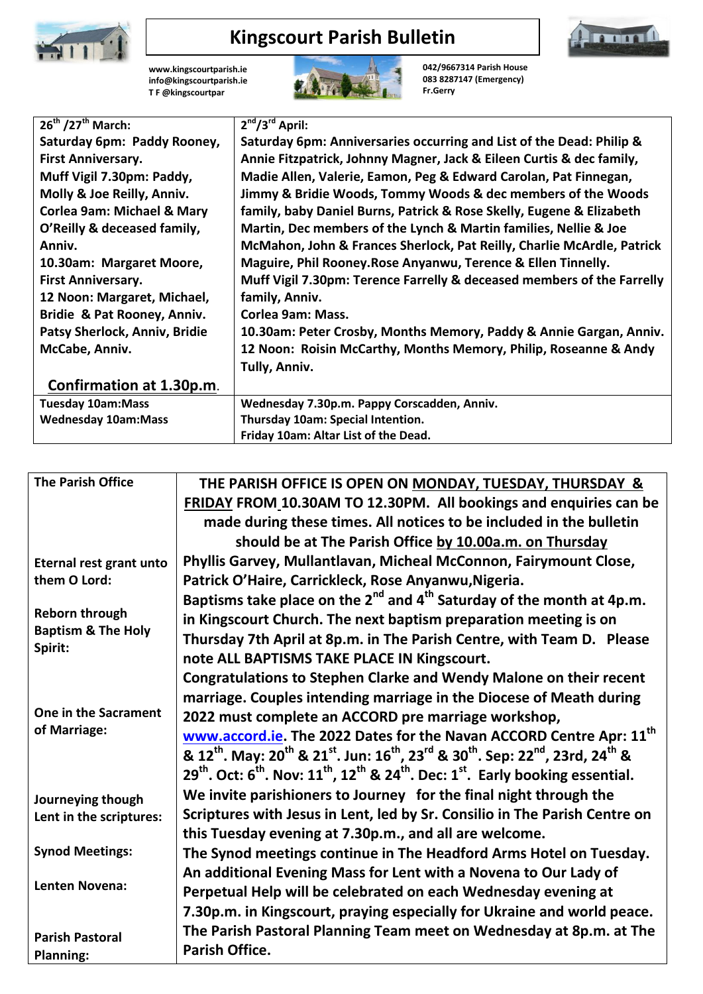

## **Kingscourt Parish Bulletin**

**[www.kingscourtparish.ie](http://www.kingscourtparish.ie/) info@kingscourtparish.ie T F @kingscourtpar** 



**042/9667314 Parish House 083 8287147 (Emergency) Fr.Gerry**

| $26^{th}$ /27 <sup>th</sup> March:    | $2nd/3rd$ April:                                                       |
|---------------------------------------|------------------------------------------------------------------------|
| Saturday 6pm: Paddy Rooney,           | Saturday 6pm: Anniversaries occurring and List of the Dead: Philip &   |
| <b>First Anniversary.</b>             | Annie Fitzpatrick, Johnny Magner, Jack & Eileen Curtis & dec family,   |
| Muff Vigil 7.30pm: Paddy,             | Madie Allen, Valerie, Eamon, Peg & Edward Carolan, Pat Finnegan,       |
| Molly & Joe Reilly, Anniv.            | Jimmy & Bridie Woods, Tommy Woods & dec members of the Woods           |
| <b>Corlea 9am: Michael &amp; Mary</b> | family, baby Daniel Burns, Patrick & Rose Skelly, Eugene & Elizabeth   |
| O'Reilly & deceased family,           | Martin, Dec members of the Lynch & Martin families, Nellie & Joe       |
| Anniv.                                | McMahon, John & Frances Sherlock, Pat Reilly, Charlie McArdle, Patrick |
| 10.30am: Margaret Moore,              | Maguire, Phil Rooney. Rose Anyanwu, Terence & Ellen Tinnelly.          |
| <b>First Anniversary.</b>             | Muff Vigil 7.30pm: Terence Farrelly & deceased members of the Farrelly |
| 12 Noon: Margaret, Michael,           | family, Anniv.                                                         |
| Bridie & Pat Rooney, Anniv.           | Corlea 9am: Mass.                                                      |
| Patsy Sherlock, Anniv, Bridie         | 10.30am: Peter Crosby, Months Memory, Paddy & Annie Gargan, Anniv.     |
| McCabe, Anniv.                        | 12 Noon: Roisin McCarthy, Months Memory, Philip, Roseanne & Andy       |
|                                       | Tully, Anniv.                                                          |
| Confirmation at 1.30p.m.              |                                                                        |
| <b>Tuesday 10am:Mass</b>              | Wednesday 7.30p.m. Pappy Corscadden, Anniv.                            |
| <b>Wednesday 10am:Mass</b>            | Thursday 10am: Special Intention.                                      |
|                                       | Friday 10am: Altar List of the Dead.                                   |

| <b>The Parish Office</b>      | THE PARISH OFFICE IS OPEN ON MONDAY, TUESDAY, THURSDAY &                                                                                                                       |
|-------------------------------|--------------------------------------------------------------------------------------------------------------------------------------------------------------------------------|
|                               | FRIDAY FROM 10.30AM TO 12.30PM. All bookings and enquiries can be                                                                                                              |
|                               | made during these times. All notices to be included in the bulletin                                                                                                            |
|                               | should be at The Parish Office by 10.00a.m. on Thursday                                                                                                                        |
| Eternal rest grant unto       | Phyllis Garvey, Mullantlavan, Micheal McConnon, Fairymount Close,                                                                                                              |
| them O Lord:                  | Patrick O'Haire, Carrickleck, Rose Anyanwu, Nigeria.                                                                                                                           |
|                               | Baptisms take place on the $2^{nd}$ and $4^{th}$ Saturday of the month at 4p.m.                                                                                                |
| <b>Reborn through</b>         | in Kingscourt Church. The next baptism preparation meeting is on                                                                                                               |
| <b>Baptism &amp; The Holy</b> | Thursday 7th April at 8p.m. in The Parish Centre, with Team D. Please                                                                                                          |
| Spirit:                       | note ALL BAPTISMS TAKE PLACE IN Kingscourt.                                                                                                                                    |
|                               | <b>Congratulations to Stephen Clarke and Wendy Malone on their recent</b>                                                                                                      |
|                               | marriage. Couples intending marriage in the Diocese of Meath during                                                                                                            |
| One in the Sacrament          | 2022 must complete an ACCORD pre marriage workshop,                                                                                                                            |
| of Marriage:                  | www.accord.ie. The 2022 Dates for the Navan ACCORD Centre Apr: 11 <sup>th</sup>                                                                                                |
|                               | & 12 <sup>th</sup> . May: 20 <sup>th</sup> & 21 <sup>st</sup> . Jun: 16 <sup>th</sup> , 23 <sup>rd</sup> & 30 <sup>th</sup> . Sep: 22 <sup>nd</sup> , 23rd, 24 <sup>th</sup> & |
|                               | 29 <sup>th</sup> . Oct: 6 <sup>th</sup> . Nov: 11 <sup>th</sup> , 12 <sup>th</sup> & 24 <sup>th</sup> . Dec: 1 <sup>st</sup> . Early booking essential.                        |
| Journeying though             | We invite parishioners to Journey for the final night through the                                                                                                              |
| Lent in the scriptures:       | Scriptures with Jesus in Lent, led by Sr. Consilio in The Parish Centre on                                                                                                     |
|                               | this Tuesday evening at 7.30p.m., and all are welcome.                                                                                                                         |
| <b>Synod Meetings:</b>        | The Synod meetings continue in The Headford Arms Hotel on Tuesday.                                                                                                             |
|                               | An additional Evening Mass for Lent with a Novena to Our Lady of                                                                                                               |
| <b>Lenten Novena:</b>         | Perpetual Help will be celebrated on each Wednesday evening at                                                                                                                 |
|                               | 7.30p.m. in Kingscourt, praying especially for Ukraine and world peace.                                                                                                        |
| <b>Parish Pastoral</b>        | The Parish Pastoral Planning Team meet on Wednesday at 8p.m. at The                                                                                                            |
| <b>Planning:</b>              | Parish Office.                                                                                                                                                                 |
|                               |                                                                                                                                                                                |